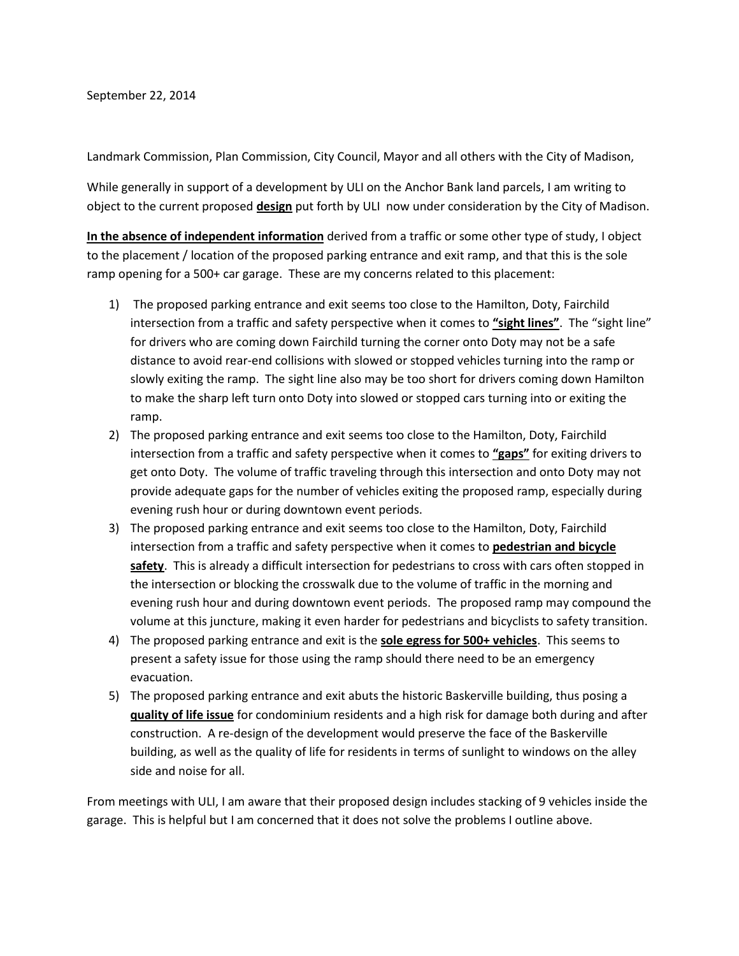September 22, 2014

Landmark Commission, Plan Commission, City Council, Mayor and all others with the City of Madison,

While generally in support of a development by ULI on the Anchor Bank land parcels, I am writing to object to the current proposed **design** put forth by ULI now under consideration by the City of Madison.

**In the absence of independent information** derived from a traffic or some other type of study, I object to the placement / location of the proposed parking entrance and exit ramp, and that this is the sole ramp opening for a 500+ car garage. These are my concerns related to this placement:

- 1) The proposed parking entrance and exit seems too close to the Hamilton, Doty, Fairchild intersection from a traffic and safety perspective when it comes to **"sight lines"**. The "sight line" for drivers who are coming down Fairchild turning the corner onto Doty may not be a safe distance to avoid rear-end collisions with slowed or stopped vehicles turning into the ramp or slowly exiting the ramp. The sight line also may be too short for drivers coming down Hamilton to make the sharp left turn onto Doty into slowed or stopped cars turning into or exiting the ramp.
- 2) The proposed parking entrance and exit seems too close to the Hamilton, Doty, Fairchild intersection from a traffic and safety perspective when it comes to **"gaps"** for exiting drivers to get onto Doty. The volume of traffic traveling through this intersection and onto Doty may not provide adequate gaps for the number of vehicles exiting the proposed ramp, especially during evening rush hour or during downtown event periods.
- 3) The proposed parking entrance and exit seems too close to the Hamilton, Doty, Fairchild intersection from a traffic and safety perspective when it comes to **pedestrian and bicycle safety**. This is already a difficult intersection for pedestrians to cross with cars often stopped in the intersection or blocking the crosswalk due to the volume of traffic in the morning and evening rush hour and during downtown event periods. The proposed ramp may compound the volume at this juncture, making it even harder for pedestrians and bicyclists to safety transition.
- 4) The proposed parking entrance and exit is the **sole egress for 500+ vehicles**. This seems to present a safety issue for those using the ramp should there need to be an emergency evacuation.
- 5) The proposed parking entrance and exit abuts the historic Baskerville building, thus posing a **quality of life issue** for condominium residents and a high risk for damage both during and after construction. A re-design of the development would preserve the face of the Baskerville building, as well as the quality of life for residents in terms of sunlight to windows on the alley side and noise for all.

From meetings with ULI, I am aware that their proposed design includes stacking of 9 vehicles inside the garage. This is helpful but I am concerned that it does not solve the problems I outline above.